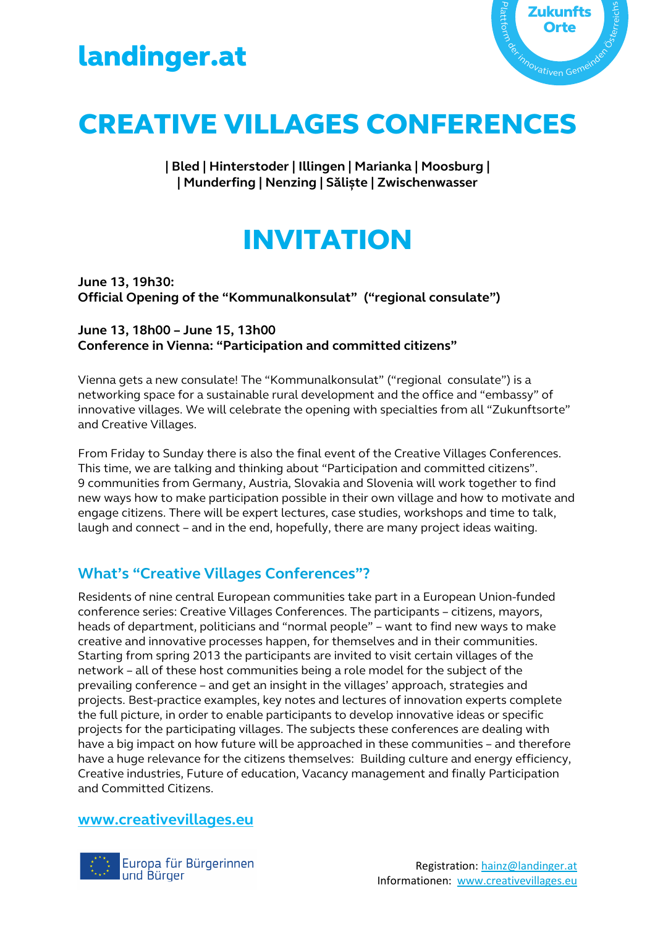



# CREATIVE VILLAGES CONFERENCES

**| Bled | Hinterstoder | Illingen | Marianka | Moosburg | | Munderfing | Nenzing | Săliște | Zwischenwasser**

# INVITATION

**June 13, 19h30: Official Opening of the "Kommunalkonsulat" ("regional consulate")** 

## **June 13, 18h00 – June 15, 13h00 Conference in Vienna: "Participation and committed citizens"**

Vienna gets a new consulate! The "Kommunalkonsulat" ("regional consulate") is a networking space for a sustainable rural development and the office and "embassy" of innovative villages. We will celebrate the opening with specialties from all "Zukunftsorte" and Creative Villages.

From Friday to Sunday there is also the final event of the Creative Villages Conferences. This time, we are talking and thinking about "Participation and committed citizens". 9 communities from Germany, Austria, Slovakia and Slovenia will work together to find new ways how to make participation possible in their own village and how to motivate and engage citizens. There will be expert lectures, case studies, workshops and time to talk, laugh and connect – and in the end, hopefully, there are many project ideas waiting.

# **What's "Creative Villages Conferences"?**

Residents of nine central European communities take part in a European Union-funded conference series: Creative Villages Conferences. The participants – citizens, mayors, heads of department, politicians and "normal people" – want to find new ways to make creative and innovative processes happen, for themselves and in their communities. Starting from spring 2013 the participants are invited to visit certain villages of the network – all of these host communities being a role model for the subject of the prevailing conference – and get an insight in the villages' approach, strategies and projects. Best-practice examples, key notes and lectures of innovation experts complete the full picture, in order to enable participants to develop innovative ideas or specific projects for the participating villages. The subjects these conferences are dealing with have a big impact on how future will be approached in these communities – and therefore have a huge relevance for the citizens themselves: Building culture and energy efficiency, Creative industries, Future of education, Vacancy management and finally Participation and Committed Citizens.

## **www.creativevillages.eu**

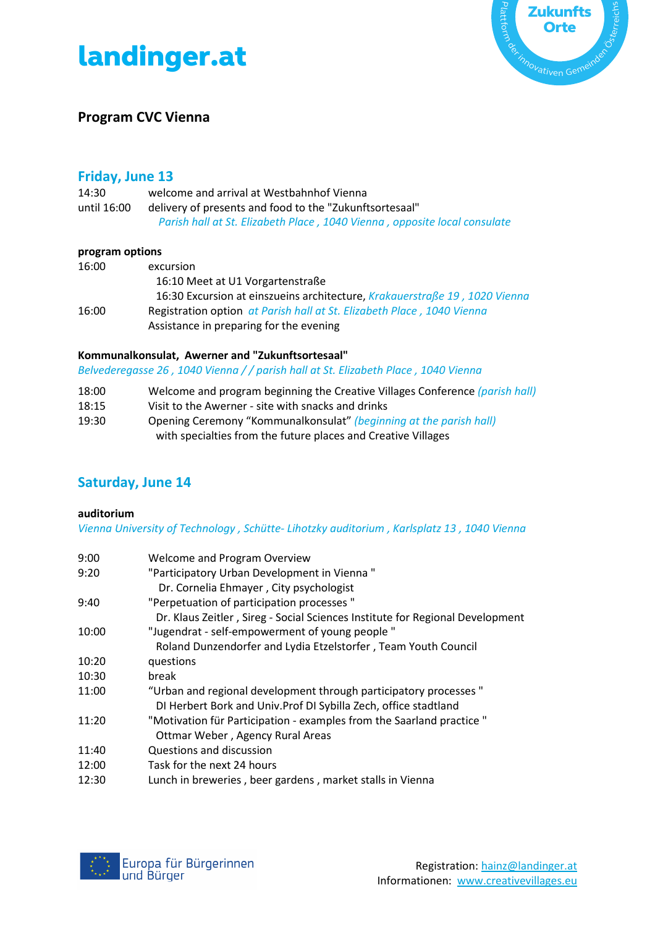



## **Program CVC Vienna**

## **Friday, June 13**

| 14:30       | welcome and arrival at Westbahnhof Vienna                                 |
|-------------|---------------------------------------------------------------------------|
| until 16:00 | delivery of presents and food to the "Zukunftsortesaal"                   |
|             | Parish hall at St. Elizabeth Place, 1040 Vienna, opposite local consulate |

#### **program options**

| 16:00 | excursion                                                                  |
|-------|----------------------------------------------------------------------------|
|       | 16:10 Meet at U1 Vorgartenstraße                                           |
|       | 16:30 Excursion at einszueins architecture, Krakauerstraße 19, 1020 Vienna |
| 16:00 | Registration option at Parish hall at St. Elizabeth Place, 1040 Vienna     |
|       | Assistance in preparing for the evening                                    |

### **Kommunalkonsulat, Awerner and "Zukunftsortesaal"**

*Belvederegasse 26 , 1040 Vienna / / parish hall at St. Elizabeth Place , 1040 Vienna* 

- 18:00 Welcome and program beginning the Creative Villages Conference *(parish hall)*
- 18:15 Visit to the Awerner site with snacks and drinks
- 19:30 Opening Ceremony "Kommunalkonsulat" *(beginning at the parish hall)* with specialties from the future places and Creative Villages

# **Saturday, June 14**

### **auditorium**

*Vienna University of Technology , Schütte- Lihotzky auditorium , Karlsplatz 13 , 1040 Vienna* 

| 9:00  | Welcome and Program Overview                                                                                                         |
|-------|--------------------------------------------------------------------------------------------------------------------------------------|
| 9:20  | "Participatory Urban Development in Vienna"<br>Dr. Cornelia Ehmayer, City psychologist                                               |
| 9:40  | "Perpetuation of participation processes"<br>Dr. Klaus Zeitler, Sireg - Social Sciences Institute for Regional Development           |
| 10:00 | "Jugendrat - self-empowerment of young people"                                                                                       |
|       | Roland Dunzendorfer and Lydia Etzelstorfer, Team Youth Council                                                                       |
| 10:20 | questions                                                                                                                            |
| 10:30 | break                                                                                                                                |
| 11:00 | "Urban and regional development through participatory processes"<br>DI Herbert Bork and Univ. Prof DI Sybilla Zech, office stadtland |
| 11:20 | "Motivation für Participation - examples from the Saarland practice "<br>Ottmar Weber, Agency Rural Areas                            |
| 11:40 | Questions and discussion                                                                                                             |
| 12:00 | Task for the next 24 hours                                                                                                           |
| 12:30 | Lunch in breweries, beer gardens, market stalls in Vienna                                                                            |
|       |                                                                                                                                      |